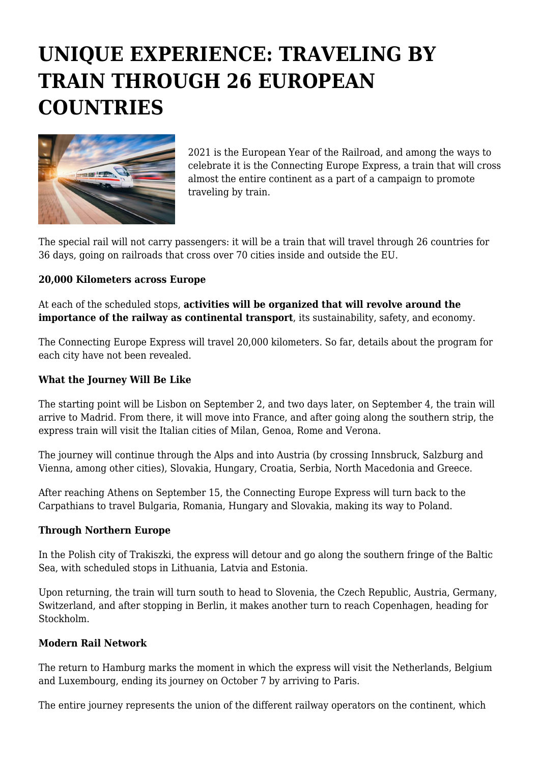# **UNIQUE EXPERIENCE: TRAVELING BY TRAIN THROUGH 26 EUROPEAN COUNTRIES**



2021 is the European Year of the Railroad, and among the ways to celebrate it is the Connecting Europe Express, a train that will cross almost the entire continent as a part of a campaign to promote traveling by train.

The special rail will not carry passengers: it will be a train that will travel through 26 countries for 36 days, going on railroads that cross over 70 cities inside and outside the EU.

## **20,000 Kilometers across Europe**

At each of the scheduled stops, **activities will be organized that will revolve around the importance of the railway as continental transport**, its sustainability, safety, and economy.

The Connecting Europe Express will travel 20,000 kilometers. So far, details about the program for each city have not been revealed.

### **What the Journey Will Be Like**

The starting point will be Lisbon on September 2, and two days later, on September 4, the train will arrive to Madrid. From there, it will move into France, and after going along the southern strip, the express train will visit the Italian cities of Milan, Genoa, Rome and Verona.

The journey will continue through the Alps and into Austria (by crossing Innsbruck, Salzburg and Vienna, among other cities), Slovakia, Hungary, Croatia, Serbia, North Macedonia and Greece.

After reaching Athens on September 15, the Connecting Europe Express will turn back to the Carpathians to travel Bulgaria, Romania, Hungary and Slovakia, making its way to Poland.

#### **Through Northern Europe**

In the Polish city of Trakiszki, the express will detour and go along the southern fringe of the Baltic Sea, with scheduled stops in Lithuania, Latvia and Estonia.

Upon returning, the train will turn south to head to Slovenia, the Czech Republic, Austria, Germany, Switzerland, and after stopping in Berlin, it makes another turn to reach Copenhagen, heading for Stockholm.

#### **Modern Rail Network**

The return to Hamburg marks the moment in which the express will visit the Netherlands, Belgium and Luxembourg, ending its journey on October 7 by arriving to Paris.

The entire journey represents the union of the different railway operators on the continent, which